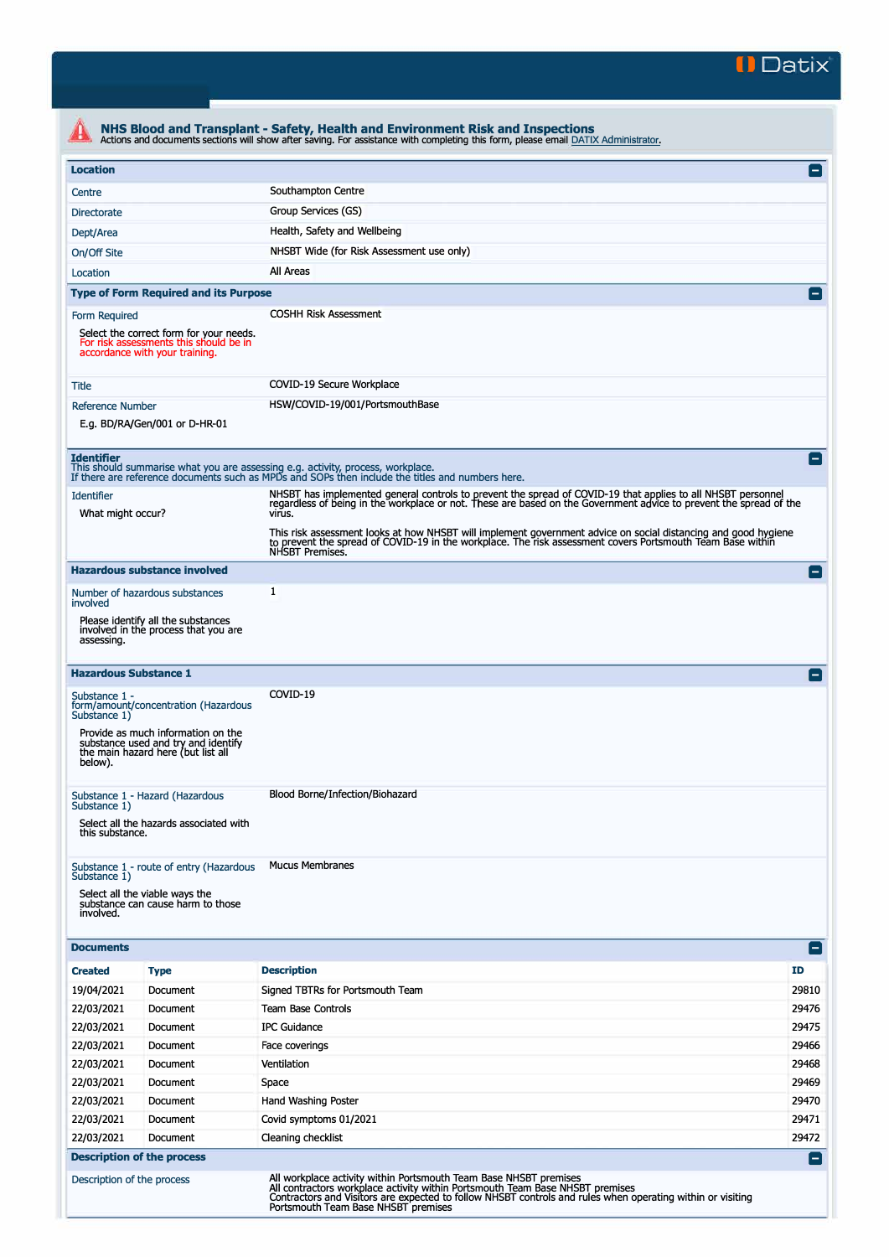

| <b>Location</b>                                                                             |                                                                                                                     |                                                                                                                                                                                                                                                 |           |  |  |  |  |
|---------------------------------------------------------------------------------------------|---------------------------------------------------------------------------------------------------------------------|-------------------------------------------------------------------------------------------------------------------------------------------------------------------------------------------------------------------------------------------------|-----------|--|--|--|--|
| Centre                                                                                      |                                                                                                                     | Southampton Centre                                                                                                                                                                                                                              |           |  |  |  |  |
|                                                                                             | Group Services (GS)<br><b>Directorate</b>                                                                           |                                                                                                                                                                                                                                                 |           |  |  |  |  |
| Dept/Area                                                                                   | Health, Safety and Wellbeing                                                                                        |                                                                                                                                                                                                                                                 |           |  |  |  |  |
| NHSBT Wide (for Risk Assessment use only)                                                   |                                                                                                                     |                                                                                                                                                                                                                                                 |           |  |  |  |  |
| On/Off Site<br>All Areas<br>Location                                                        |                                                                                                                     |                                                                                                                                                                                                                                                 |           |  |  |  |  |
|                                                                                             |                                                                                                                     |                                                                                                                                                                                                                                                 |           |  |  |  |  |
|                                                                                             | <b>Type of Form Required and its Purpose</b>                                                                        |                                                                                                                                                                                                                                                 |           |  |  |  |  |
| Form Required                                                                               | Select the correct form for your needs.<br>For risk assessments this should be in<br>accordance with your training. | <b>COSHH Risk Assessment</b>                                                                                                                                                                                                                    |           |  |  |  |  |
| Title                                                                                       |                                                                                                                     | COVID-19 Secure Workplace                                                                                                                                                                                                                       |           |  |  |  |  |
| HSW/COVID-19/001/PortsmouthBase<br><b>Reference Number</b><br>E.g. BD/RA/Gen/001 or D-HR-01 |                                                                                                                     |                                                                                                                                                                                                                                                 |           |  |  |  |  |
| <b>Identifier</b>                                                                           |                                                                                                                     | This should summarise what you are assessing e.g. activity, process, workplace.<br>If there are reference documents such as MPDs and SOPs then include the titles and numbers here.                                                             |           |  |  |  |  |
| <b>Identifier</b><br>What might occur?                                                      |                                                                                                                     | NHSBT has implemented general controls to prevent the spread of COVID-19 that applies to all NHSBT personnel<br>regardless of being in the workplace or not. These are based on the Government advice to prevent the spread of the<br>virus.    |           |  |  |  |  |
|                                                                                             |                                                                                                                     | This risk assessment looks at how NHSBT will implement government advice on social distancing and good hygiene<br>to prevent the spread of COVID-19 in the workplace. The risk assessment covers Portsmouth Team Base within<br>NHSBT Premises. |           |  |  |  |  |
|                                                                                             | <b>Hazardous substance involved</b>                                                                                 |                                                                                                                                                                                                                                                 |           |  |  |  |  |
| involved                                                                                    | Number of hazardous substances                                                                                      | 1                                                                                                                                                                                                                                               |           |  |  |  |  |
| assessing.                                                                                  | Please identify all the substances<br>involved in the process that you are                                          |                                                                                                                                                                                                                                                 |           |  |  |  |  |
|                                                                                             | <b>Hazardous Substance 1</b>                                                                                        |                                                                                                                                                                                                                                                 |           |  |  |  |  |
| Substance 1 -<br>Substance 1)                                                               | form/amount/concentration (Hazardous                                                                                | COVID-19                                                                                                                                                                                                                                        |           |  |  |  |  |
| below).                                                                                     | Provide as much information on the<br>substance used and try and identify<br>the main hazard here (but list all     |                                                                                                                                                                                                                                                 |           |  |  |  |  |
| Substance 1)                                                                                | Substance 1 - Hazard (Hazardous                                                                                     | Blood Borne/Infection/Biohazard                                                                                                                                                                                                                 |           |  |  |  |  |
| this substance.                                                                             | Select all the hazards associated with                                                                              |                                                                                                                                                                                                                                                 |           |  |  |  |  |
| Substance 1)                                                                                | Substance 1 - route of entry (Hazardous                                                                             | <b>Mucus Membranes</b>                                                                                                                                                                                                                          |           |  |  |  |  |
| involved.                                                                                   | Select all the viable ways the<br>substance can cause harm to those                                                 |                                                                                                                                                                                                                                                 |           |  |  |  |  |
| <b>Documents</b>                                                                            |                                                                                                                     |                                                                                                                                                                                                                                                 |           |  |  |  |  |
| <b>Created</b>                                                                              | <b>Type</b>                                                                                                         | <b>Description</b>                                                                                                                                                                                                                              | <b>ID</b> |  |  |  |  |
| 19/04/2021                                                                                  | Document                                                                                                            | Signed TBTRs for Portsmouth Team                                                                                                                                                                                                                | 29810     |  |  |  |  |
| 22/03/2021                                                                                  | Document                                                                                                            | <b>Team Base Controls</b>                                                                                                                                                                                                                       | 29476     |  |  |  |  |
| 22/03/2021                                                                                  | Document                                                                                                            | <b>IPC Guidance</b>                                                                                                                                                                                                                             | 29475     |  |  |  |  |
| 22/03/2021                                                                                  | Document                                                                                                            | Face coverings                                                                                                                                                                                                                                  | 29466     |  |  |  |  |
| 22/03/2021                                                                                  | Document                                                                                                            | Ventilation                                                                                                                                                                                                                                     | 29468     |  |  |  |  |
| 22/03/2021                                                                                  | Document                                                                                                            | Space                                                                                                                                                                                                                                           | 29469     |  |  |  |  |
| 22/03/2021                                                                                  | Document                                                                                                            | Hand Washing Poster                                                                                                                                                                                                                             | 29470     |  |  |  |  |
| 22/03/2021                                                                                  | Document                                                                                                            | Covid symptoms 01/2021                                                                                                                                                                                                                          | 29471     |  |  |  |  |
| 22/03/2021                                                                                  | Document                                                                                                            | Cleaning checklist                                                                                                                                                                                                                              | 29472     |  |  |  |  |
|                                                                                             | <b>Description of the process</b>                                                                                   |                                                                                                                                                                                                                                                 |           |  |  |  |  |
|                                                                                             | Description of the process                                                                                          | All workplace activity within Portsmouth Team Base NHSBT premises<br>All contractors workplace activity within Portsmouth Team Base NHSBT premises                                                                                              |           |  |  |  |  |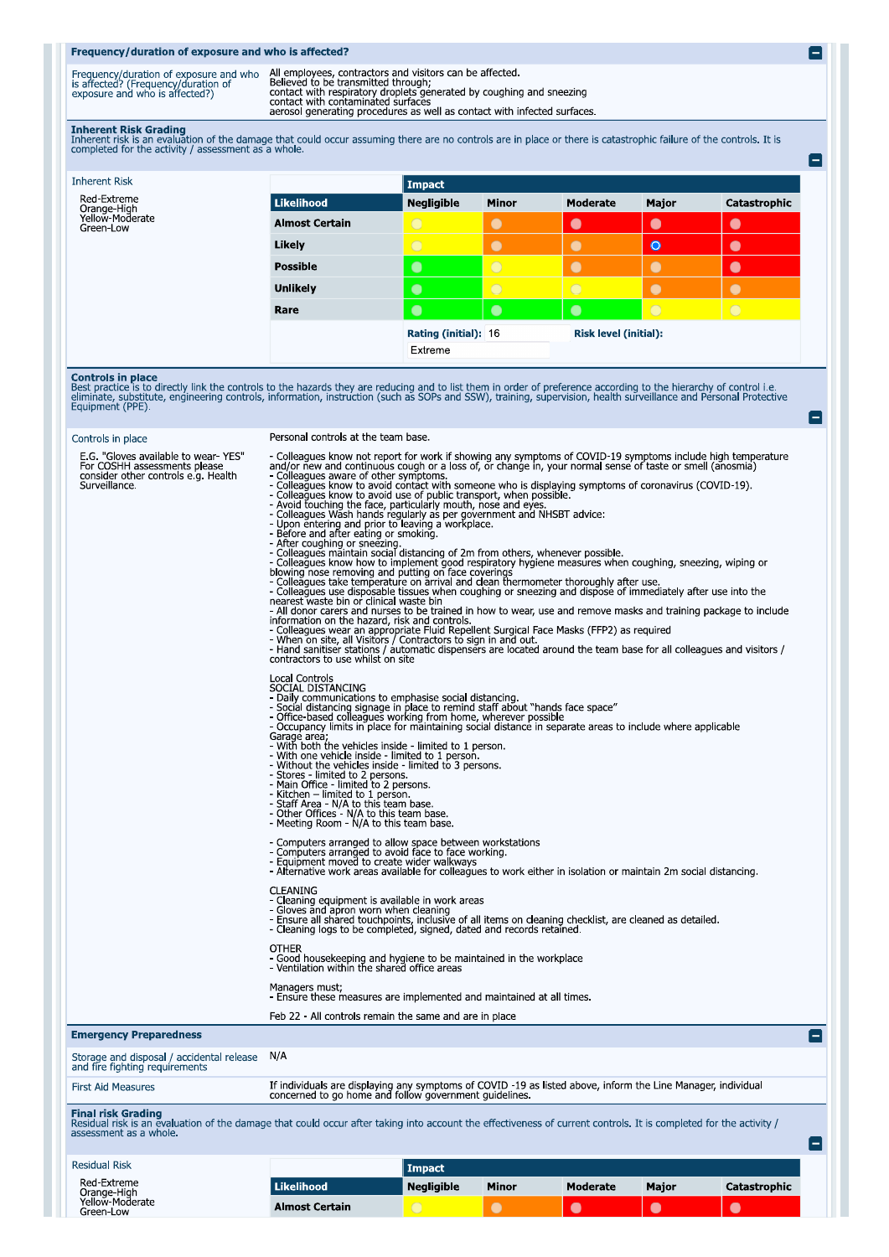## Frequency/duration of exposure and who is affected?

Frequency/duration of exposure and who All employees, contractors and visitors can be affected.<br>
is affected? (Frequency/duration of Believed to be transmitted through;<br>
exposure and who is affected?) contact with respirat

E

-1

 $\blacksquare$ 

**Inherent Risk Grading**<br>Inherent risk is an evaluation of the damage that could occur assuming there are no controls are in place or there is catastrophic failure of the controls. It is<br>completed for the activity / assessm

| Impact            |                      |            |                              |              |  |
|-------------------|----------------------|------------|------------------------------|--------------|--|
| <b>Negligible</b> | <b>Minor</b>         | Moderate   | Major                        | Catastrophic |  |
| $\bigcirc$        | $\bullet$            | $\bullet$  | $\bullet$                    | $\bullet$    |  |
| $\bigcirc$        | $\bullet$            | $\bullet$  | $\bullet$                    | $\bullet$    |  |
| $\bullet$         | $\circ$              |            | $\bullet$                    | $\bullet$    |  |
| $\bullet$         | $\circ$              | $\bigcirc$ | $\bullet$                    | $\bullet$    |  |
| $\bullet$         | $\bullet$            | $\bullet$  | $\bigcirc$                   | $\bigcirc$   |  |
|                   | Rating (initial): 16 |            | <b>Risk level (initial):</b> |              |  |
| Extreme           |                      |            |                              |              |  |
|                   |                      |            |                              |              |  |

**Controls in place**<br>Best practice is to directly link the controls to the hazards they are reducing and to list them in order of preference according to the hierarchy of control i.e.<br>eliminate, substitute, engineering cont

| Controls in place                                                                                                           | Personal controls at the team base.                                                                                                                                                                                                                                                                                                                                                                                                                                                                                                                                                                                                                                                                                                                                                                                                                                                                                                                                                                                                                                                                                                                                                                                                                                                                                                                                                                                                                                                                                                                                                                                                                                                                                                                |
|-----------------------------------------------------------------------------------------------------------------------------|----------------------------------------------------------------------------------------------------------------------------------------------------------------------------------------------------------------------------------------------------------------------------------------------------------------------------------------------------------------------------------------------------------------------------------------------------------------------------------------------------------------------------------------------------------------------------------------------------------------------------------------------------------------------------------------------------------------------------------------------------------------------------------------------------------------------------------------------------------------------------------------------------------------------------------------------------------------------------------------------------------------------------------------------------------------------------------------------------------------------------------------------------------------------------------------------------------------------------------------------------------------------------------------------------------------------------------------------------------------------------------------------------------------------------------------------------------------------------------------------------------------------------------------------------------------------------------------------------------------------------------------------------------------------------------------------------------------------------------------------------|
| E.G. "Gloves available to wear-YES"<br>For COSHH assessments please<br>consider other controls e.g. Health<br>Surveillance. | - Colleagues know not report for work if showing any symptoms of COVID-19 symptoms include high temperature<br>and/or new and continuous cough or a loss of, or change in, your normal sense of taste or smell (anosmia)<br>- Colleagues aware of other symptoms.<br>- Colleagues know to avoid contact with someone who is displaying symptoms of coronavirus (COVID-19).<br>- Colleagues know to avoid use of public transport, when possible.<br>- Avoid touching the face, particularly mouth, nose and eyes.<br>- Colleagues Wash hands regularly as per government and NHSBT advice:<br>- Upon entering and prior to leaving a workplace.<br>- Before and after eating or smoking.<br>- After coughing or sneezing.<br>- Colleagues maintain social distancing of 2m from others, whenever possible.<br>- Colleagues maintain social distancing of 2m from others, whenever possible.<br>- Colleagues know how to implement good respiratory hygiene measur<br>blowing nose removing and putting on face coverings<br>- Colleagues take temperature on arrival and clean thermometer thoroughly after use.<br>- Colleagues use disposable tissues when coughing or sneezing and dispose of immediately after use into the nearest waste bin or clinical waste bin<br>- All donor carers and nurses to be trained in how to wear, use and remove masks and training package to include<br>information on the hazard, risk and controls.<br>- Colleagues wear an appropriate Fluid Repellent Surgical Face Masks (FFP2) as required<br>- Colleagues wear an appropriate Fluid Repellent Surgical Face Masks (FFP2) as required<br>- Hand sanitiser stations / automatic dispense<br>contractors to use whilst on site<br><b>Local Controls</b> |
|                                                                                                                             | SOCIAL DISTANCING<br>- Daily communications to emphasise social distancing.<br>- Social distancing signage in place to remind staff about "hands face space"<br>- Office-based colleagues working from home, wherever possible<br>- Occupancy limits in place for maintaining social distance in separate areas to include where applicable<br>Garage area,<br>- With both the vehicles inside - limited to 1 person.<br>- With one vehicle inside - limited to 1 person.<br>- With one vehicle inside - limited to 1 persons.<br>- Without the vehicles inside - limited to 3 persons.<br>- winnout the venticles inside - infinited to 2<br>- Stores - limited to 2 persons.<br>- Main Office - limited to 2 persons.<br>- Kitchen – limited to 1 person.<br>- Staff Area - N/A to this team base.<br>- Other Offices - N/A to th                                                                                                                                                                                                                                                                                                                                                                                                                                                                                                                                                                                                                                                                                                                                                                                                                                                                                                                |
|                                                                                                                             | - Computers arranged to allow space between workstations<br>- Computers arranged to avoid face to face working.<br>- Equipment moved to create wider walkways<br>- Alternative work areas available for colleagues to work either in is<br><b>CLEANING</b><br>- Cleaning equipment is available in work areas<br>- Gloves and apron worn when cleaning<br>- Ensure all shared touchpoints, inclusive of all items on cleaning checklist, are cleaned as detailed.<br>- Cleaning logs to be completed, signed, dated and records retained.<br><b>OTHER</b><br>- Good housekeeping and hygiene to be maintained in the workplace<br>- Ventilation within the shared office areas                                                                                                                                                                                                                                                                                                                                                                                                                                                                                                                                                                                                                                                                                                                                                                                                                                                                                                                                                                                                                                                                     |
|                                                                                                                             | Managers must;<br>- Ensure these measures are implemented and maintained at all times.                                                                                                                                                                                                                                                                                                                                                                                                                                                                                                                                                                                                                                                                                                                                                                                                                                                                                                                                                                                                                                                                                                                                                                                                                                                                                                                                                                                                                                                                                                                                                                                                                                                             |
|                                                                                                                             | Feb 22 - All controls remain the same and are in place                                                                                                                                                                                                                                                                                                                                                                                                                                                                                                                                                                                                                                                                                                                                                                                                                                                                                                                                                                                                                                                                                                                                                                                                                                                                                                                                                                                                                                                                                                                                                                                                                                                                                             |
| <b>Emergency Preparedness</b>                                                                                               |                                                                                                                                                                                                                                                                                                                                                                                                                                                                                                                                                                                                                                                                                                                                                                                                                                                                                                                                                                                                                                                                                                                                                                                                                                                                                                                                                                                                                                                                                                                                                                                                                                                                                                                                                    |
| Storage and disposal / accidental release<br>and fire fighting requirements                                                 | N/A                                                                                                                                                                                                                                                                                                                                                                                                                                                                                                                                                                                                                                                                                                                                                                                                                                                                                                                                                                                                                                                                                                                                                                                                                                                                                                                                                                                                                                                                                                                                                                                                                                                                                                                                                |
| <b>First Aid Measures</b>                                                                                                   | If individuals are displaying any symptoms of COVID -19 as listed above, inform the Line Manager, individual concerned to go home and follow government guidelines.                                                                                                                                                                                                                                                                                                                                                                                                                                                                                                                                                                                                                                                                                                                                                                                                                                                                                                                                                                                                                                                                                                                                                                                                                                                                                                                                                                                                                                                                                                                                                                                |
| <b>Final risk Grading</b><br>assessment as a whole.                                                                         | Residual risk is an evaluation of the damage that could occur after taking into account the effectiveness of current controls. It is completed for the activity /<br>$\equiv$                                                                                                                                                                                                                                                                                                                                                                                                                                                                                                                                                                                                                                                                                                                                                                                                                                                                                                                                                                                                                                                                                                                                                                                                                                                                                                                                                                                                                                                                                                                                                                      |

| <b>Residual Risk</b>                        |                       | Impact            |              |                 |              |              |
|---------------------------------------------|-----------------------|-------------------|--------------|-----------------|--------------|--------------|
| Red-Extreme                                 | <b>Likelihood</b>     | <b>Negligible</b> | <b>Minor</b> | <b>Moderate</b> | <b>Major</b> | Catastrophic |
| Orange-High<br>Yellow-Moderate<br>Green-Low | <b>Almost Certain</b> |                   |              |                 |              | L.           |